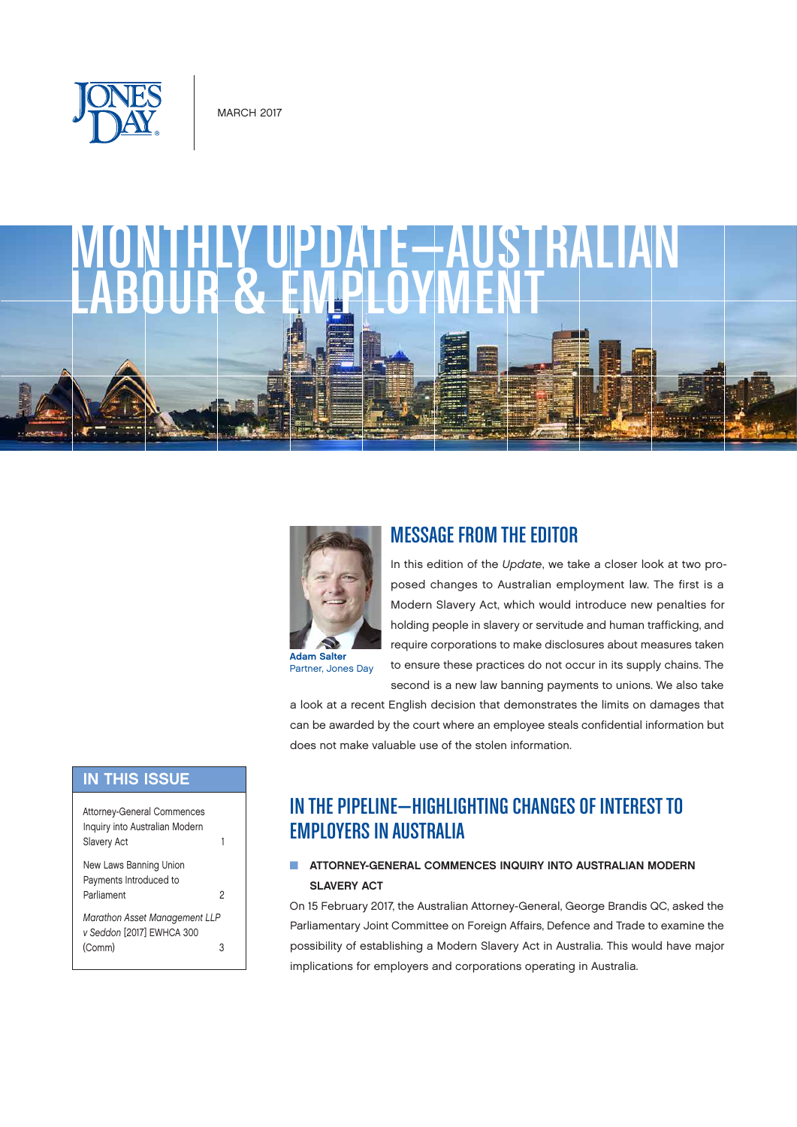





Partner, Jones Day

# MESSAGE FROM THE EDITOR

In this edition of the *Update*, we take a closer look at two proposed changes to Australian employment law. The first is a Modern Slavery Act, which would introduce new penalties for holding people in slavery or servitude and human trafficking, and require corporations to make disclosures about measures taken to ensure these practices do not occur in its supply chains. The second is a new law banning payments to unions. We also take

a look at a recent English decision that demonstrates the limits on damages that can be awarded by the court where an employee steals confidential information but does not make valuable use of the stolen information.

### **IN THIS ISSUE**

| <b>Attorney-General Commences</b><br>Inquiry into Australian Modern<br>Slavery Act |   |
|------------------------------------------------------------------------------------|---|
| New Laws Banning Union<br>Payments Introduced to<br>Parliament                     | 2 |
| <b>Marathon Asset Management LLP</b><br>v Seddon [2017] EWHCA 300<br>(Comm)        |   |

# IN THE PIPELINE—HIGHLIGHTING CHANGES OF INTEREST TO EMPLOYERS IN AUSTRALIA

#### **N ATTORNEY-GENERAL COMMENCES INQUIRY INTO AUSTRALIAN MODERN** SLAVERY ACT

On 15 February 2017, the Australian Attorney-General, George Brandis QC, asked the Parliamentary Joint Committee on Foreign Affairs, Defence and Trade to examine the possibility of establishing a Modern Slavery Act in Australia. This would have major implications for employers and corporations operating in Australia.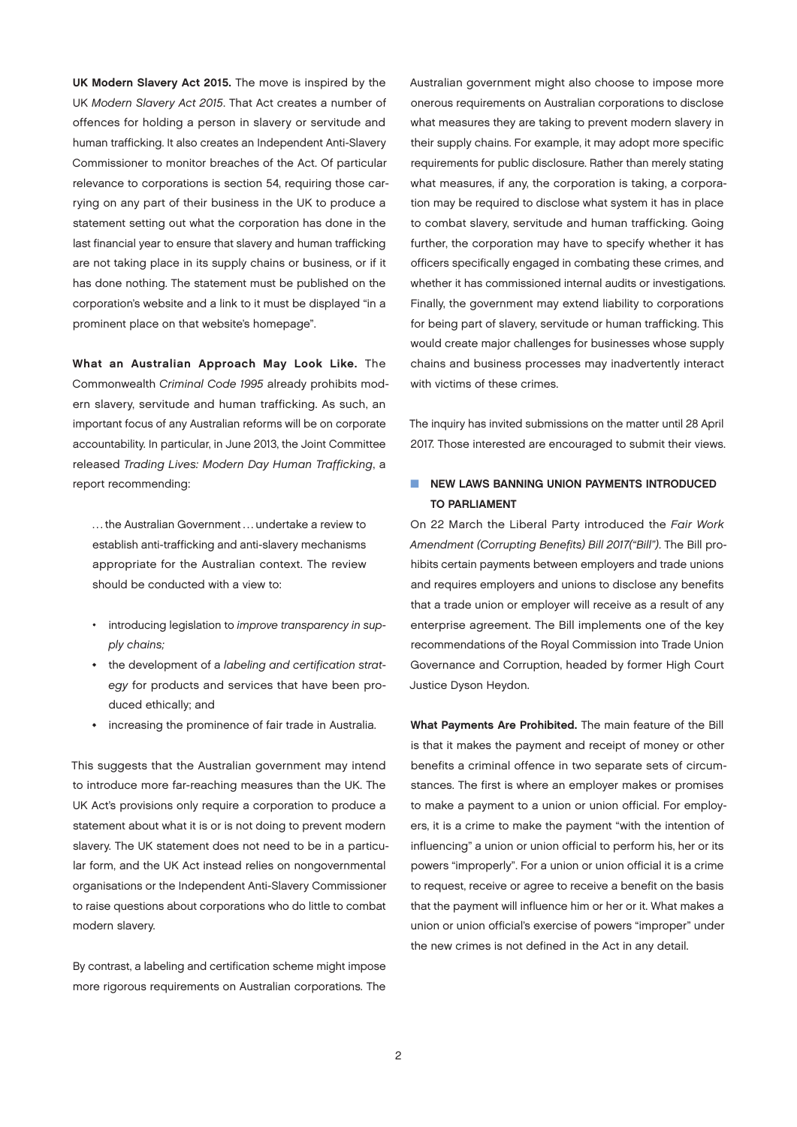<span id="page-1-0"></span>UK Modern Slavery Act 2015. The move is inspired by the UK *Modern Slavery Act 2015*. That Act creates a number of offences for holding a person in slavery or servitude and human trafficking. It also creates an Independent Anti-Slavery Commissioner to monitor breaches of the Act. Of particular relevance to corporations is section 54, requiring those carrying on any part of their business in the UK to produce a statement setting out what the corporation has done in the last financial year to ensure that slavery and human trafficking are not taking place in its supply chains or business, or if it has done nothing. The statement must be published on the corporation's website and a link to it must be displayed "in a prominent place on that website's homepage".

What an Australian Approach May Look Like. The Commonwealth *Criminal Code 1995* already prohibits modern slavery, servitude and human trafficking. As such, an important focus of any Australian reforms will be on corporate accountability. In particular, in June 2013, the Joint Committee released *Trading Lives: Modern Day Human Trafficking*, a report recommending:

... the Australian Government ... undertake a review to establish anti-trafficking and anti-slavery mechanisms appropriate for the Australian context. The review should be conducted with a view to:

- introducing legislation to *improve transparency in supply chains;*
- the development of a *labeling and certification strategy* for products and services that have been produced ethically; and
- increasing the prominence of fair trade in Australia.

This suggests that the Australian government may intend to introduce more far-reaching measures than the UK. The UK Act's provisions only require a corporation to produce a statement about what it is or is not doing to prevent modern slavery. The UK statement does not need to be in a particular form, and the UK Act instead relies on nongovernmental organisations or the Independent Anti-Slavery Commissioner to raise questions about corporations who do little to combat modern slavery.

By contrast, a labeling and certification scheme might impose more rigorous requirements on Australian corporations. The Australian government might also choose to impose more onerous requirements on Australian corporations to disclose what measures they are taking to prevent modern slavery in their supply chains. For example, it may adopt more specific requirements for public disclosure. Rather than merely stating what measures, if any, the corporation is taking, a corporation may be required to disclose what system it has in place to combat slavery, servitude and human trafficking. Going further, the corporation may have to specify whether it has officers specifically engaged in combating these crimes, and whether it has commissioned internal audits or investigations. Finally, the government may extend liability to corporations for being part of slavery, servitude or human trafficking. This would create major challenges for businesses whose supply chains and business processes may inadvertently interact with victims of these crimes.

The inquiry has invited submissions on the matter until 28 April 2017. Those interested are encouraged to submit their views.

#### **NEW LAWS BANNING UNION PAYMENTS INTRODUCED** TO PARLIAMENT

On 22 March the Liberal Party introduced the *Fair Work Amendment (Corrupting Benefits) Bill 2017("Bill")*. The Bill prohibits certain payments between employers and trade unions and requires employers and unions to disclose any benefits that a trade union or employer will receive as a result of any enterprise agreement. The Bill implements one of the key recommendations of the Royal Commission into Trade Union Governance and Corruption, headed by former High Court Justice Dyson Heydon.

What Payments Are Prohibited. The main feature of the Bill is that it makes the payment and receipt of money or other benefits a criminal offence in two separate sets of circumstances. The first is where an employer makes or promises to make a payment to a union or union official. For employers, it is a crime to make the payment "with the intention of influencing" a union or union official to perform his, her or its powers "improperly". For a union or union official it is a crime to request, receive or agree to receive a benefit on the basis that the payment will influence him or her or it. What makes a union or union official's exercise of powers "improper" under the new crimes is not defined in the Act in any detail.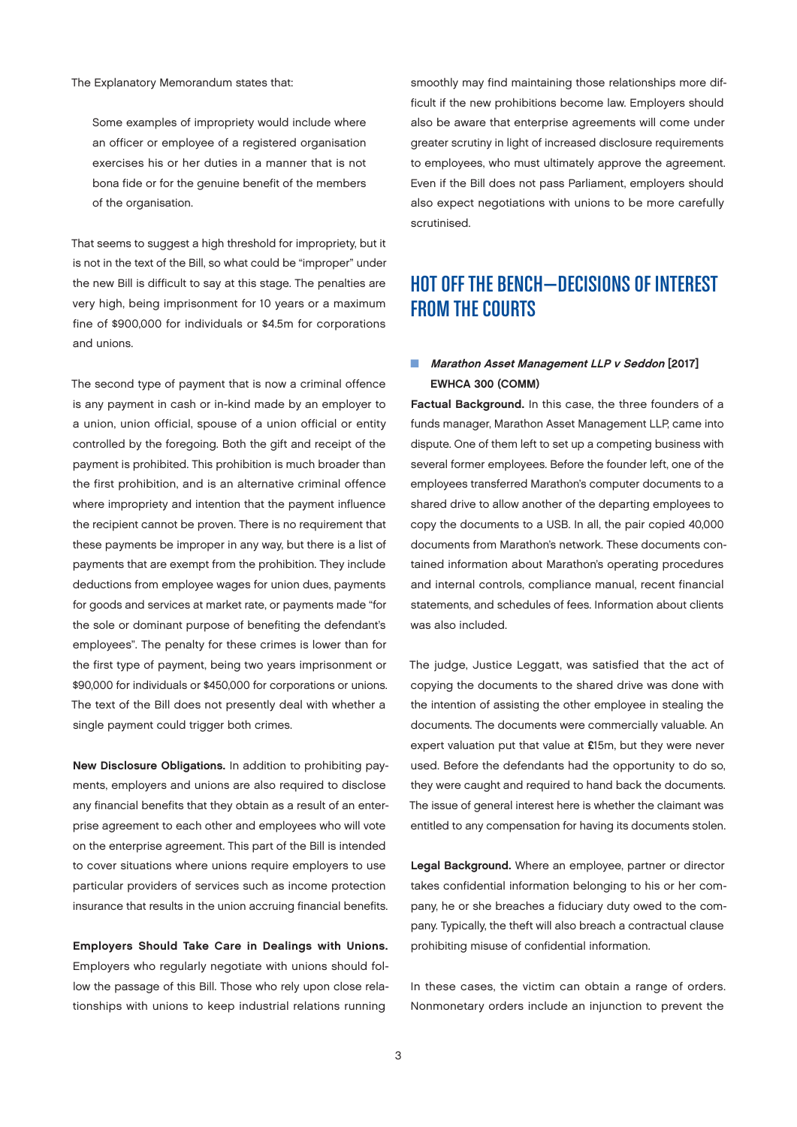<span id="page-2-0"></span>The Explanatory Memorandum states that:

Some examples of impropriety would include where an officer or employee of a registered organisation exercises his or her duties in a manner that is not bona fide or for the genuine benefit of the members of the organisation.

That seems to suggest a high threshold for impropriety, but it is not in the text of the Bill, so what could be "improper" under the new Bill is difficult to say at this stage. The penalties are very high, being imprisonment for 10 years or a maximum fine of \$900,000 for individuals or \$4.5m for corporations and unions.

The second type of payment that is now a criminal offence is any payment in cash or in-kind made by an employer to a union, union official, spouse of a union official or entity controlled by the foregoing. Both the gift and receipt of the payment is prohibited. This prohibition is much broader than the first prohibition, and is an alternative criminal offence where impropriety and intention that the payment influence the recipient cannot be proven. There is no requirement that these payments be improper in any way, but there is a list of payments that are exempt from the prohibition. They include deductions from employee wages for union dues, payments for goods and services at market rate, or payments made "for the sole or dominant purpose of benefiting the defendant's employees". The penalty for these crimes is lower than for the first type of payment, being two years imprisonment or \$90,000 for individuals or \$450,000 for corporations or unions. The text of the Bill does not presently deal with whether a single payment could trigger both crimes.

New Disclosure Obligations. In addition to prohibiting payments, employers and unions are also required to disclose any financial benefits that they obtain as a result of an enterprise agreement to each other and employees who will vote on the enterprise agreement. This part of the Bill is intended to cover situations where unions require employers to use particular providers of services such as income protection insurance that results in the union accruing financial benefits.

Employers Should Take Care in Dealings with Unions. Employers who regularly negotiate with unions should follow the passage of this Bill. Those who rely upon close relationships with unions to keep industrial relations running

smoothly may find maintaining those relationships more difficult if the new prohibitions become law. Employers should also be aware that enterprise agreements will come under greater scrutiny in light of increased disclosure requirements to employees, who must ultimately approve the agreement. Even if the Bill does not pass Parliament, employers should also expect negotiations with unions to be more carefully scrutinised.

# HOT OFF THE BENCH—DECISIONS OF INTEREST FROM THE COURTS

#### Marathon Asset Management LLP v Seddon [2017] EWHCA 300 (COMM)

Factual Background. In this case, the three founders of a funds manager, Marathon Asset Management LLP, came into dispute. One of them left to set up a competing business with several former employees. Before the founder left, one of the employees transferred Marathon's computer documents to a shared drive to allow another of the departing employees to copy the documents to a USB. In all, the pair copied 40,000 documents from Marathon's network. These documents contained information about Marathon's operating procedures and internal controls, compliance manual, recent financial statements, and schedules of fees. Information about clients was also included.

The judge, Justice Leggatt, was satisfied that the act of copying the documents to the shared drive was done with the intention of assisting the other employee in stealing the documents. The documents were commercially valuable. An expert valuation put that value at £15m, but they were never used. Before the defendants had the opportunity to do so, they were caught and required to hand back the documents. The issue of general interest here is whether the claimant was entitled to any compensation for having its documents stolen.

Legal Background. Where an employee, partner or director takes confidential information belonging to his or her company, he or she breaches a fiduciary duty owed to the company. Typically, the theft will also breach a contractual clause prohibiting misuse of confidential information.

In these cases, the victim can obtain a range of orders. Nonmonetary orders include an injunction to prevent the